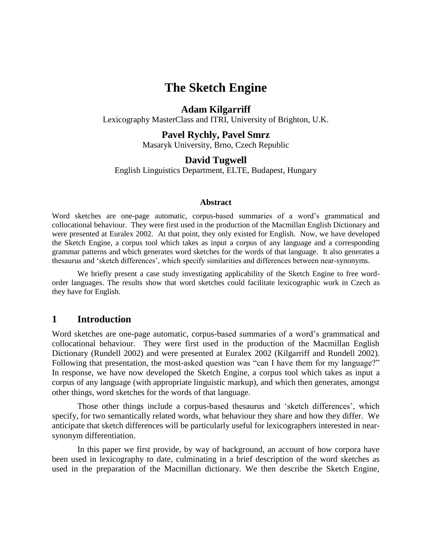# **The Sketch Engine**

#### **Adam Kilgarriff**

Lexicography MasterClass and ITRI, University of Brighton, U.K.

#### **Pavel Rychly, Pavel Smrz**

Masaryk University, Brno, Czech Republic

#### **David Tugwell**

English Linguistics Department, ELTE, Budapest, Hungary

#### **Abstract**

Word sketches are one-page automatic, corpus-based summaries of a word's grammatical and collocational behaviour. They were first used in the production of the Macmillan English Dictionary and were presented at Euralex 2002. At that point, they only existed for English. Now, we have developed the Sketch Engine, a corpus tool which takes as input a corpus of any language and a corresponding grammar patterns and which generates word sketches for the words of that language. It also generates a thesaurus and 'sketch differences', which specify similarities and differences between near-synonyms.

We briefly present a case study investigating applicability of the Sketch Engine to free wordorder languages. The results show that word sketches could facilitate lexicographic work in Czech as they have for English.

#### **1 Introduction**

Word sketches are one-page automatic, corpus-based summaries of a word's grammatical and collocational behaviour. They were first used in the production of the Macmillan English Dictionary (Rundell 2002) and were presented at Euralex 2002 (Kilgarriff and Rundell 2002). Following that presentation, the most-asked question was "can I have them for my language?" In response, we have now developed the Sketch Engine, a corpus tool which takes as input a corpus of any language (with appropriate linguistic markup), and which then generates, amongst other things, word sketches for the words of that language.

Those other things include a corpus-based thesaurus and 'sketch differences', which specify, for two semantically related words, what behaviour they share and how they differ. We anticipate that sketch differences will be particularly useful for lexicographers interested in nearsynonym differentiation.

In this paper we first provide, by way of background, an account of how corpora have been used in lexicography to date, culminating in a brief description of the word sketches as used in the preparation of the Macmillan dictionary. We then describe the Sketch Engine,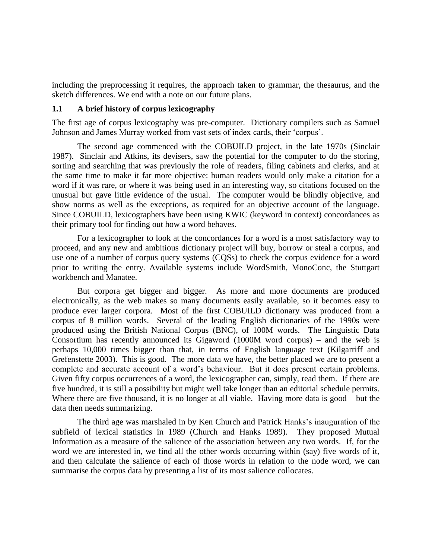including the preprocessing it requires, the approach taken to grammar, the thesaurus, and the sketch differences. We end with a note on our future plans.

#### **1.1 A brief history of corpus lexicography**

The first age of corpus lexicography was pre-computer. Dictionary compilers such as Samuel Johnson and James Murray worked from vast sets of index cards, their 'corpus'.

The second age commenced with the COBUILD project, in the late 1970s (Sinclair 1987). Sinclair and Atkins, its devisers, saw the potential for the computer to do the storing, sorting and searching that was previously the role of readers, filing cabinets and clerks, and at the same time to make it far more objective: human readers would only make a citation for a word if it was rare, or where it was being used in an interesting way, so citations focused on the unusual but gave little evidence of the usual. The computer would be blindly objective, and show norms as well as the exceptions, as required for an objective account of the language. Since COBUILD, lexicographers have been using KWIC (keyword in context) concordances as their primary tool for finding out how a word behaves.

For a lexicographer to look at the concordances for a word is a most satisfactory way to proceed, and any new and ambitious dictionary project will buy, borrow or steal a corpus, and use one of a number of corpus query systems (CQSs) to check the corpus evidence for a word prior to writing the entry. Available systems include WordSmith, MonoConc, the Stuttgart workbench and Manatee.

But corpora get bigger and bigger. As more and more documents are produced electronically, as the web makes so many documents easily available, so it becomes easy to produce ever larger corpora. Most of the first COBUILD dictionary was produced from a corpus of 8 million words. Several of the leading English dictionaries of the 1990s were produced using the British National Corpus (BNC), of 100M words. The Linguistic Data Consortium has recently announced its Gigaword (1000M word corpus) – and the web is perhaps 10,000 times bigger than that, in terms of English language text (Kilgarriff and Grefenstette 2003). This is good. The more data we have, the better placed we are to present a complete and accurate account of a word's behaviour. But it does present certain problems. Given fifty corpus occurrences of a word, the lexicographer can, simply, read them. If there are five hundred, it is still a possibility but might well take longer than an editorial schedule permits. Where there are five thousand, it is no longer at all viable. Having more data is good – but the data then needs summarizing.

The third age was marshaled in by Ken Church and Patrick Hanks's inauguration of the subfield of lexical statistics in 1989 (Church and Hanks 1989). They proposed Mutual Information as a measure of the salience of the association between any two words. If, for the word we are interested in, we find all the other words occurring within (say) five words of it, and then calculate the salience of each of those words in relation to the node word, we can summarise the corpus data by presenting a list of its most salience collocates.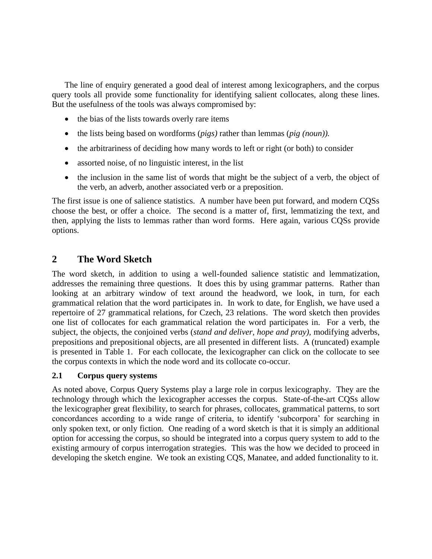The line of enquiry generated a good deal of interest among lexicographers, and the corpus query tools all provide some functionality for identifying salient collocates, along these lines. But the usefulness of the tools was always compromised by:

- the bias of the lists towards overly rare items
- the lists being based on wordforms (*pigs)* rather than lemmas (*pig (noun)).*
- the arbitrariness of deciding how many words to left or right (or both) to consider
- assorted noise, of no linguistic interest, in the list
- the inclusion in the same list of words that might be the subject of a verb, the object of the verb, an adverb, another associated verb or a preposition.

The first issue is one of salience statistics. A number have been put forward, and modern CQSs choose the best, or offer a choice. The second is a matter of, first, lemmatizing the text, and then, applying the lists to lemmas rather than word forms. Here again, various CQSs provide options.

## **2 The Word Sketch**

The word sketch, in addition to using a well-founded salience statistic and lemmatization, addresses the remaining three questions. It does this by using grammar patterns. Rather than looking at an arbitrary window of text around the headword, we look, in turn, for each grammatical relation that the word participates in. In work to date, for English, we have used a repertoire of 27 grammatical relations, for Czech, 23 relations. The word sketch then provides one list of collocates for each grammatical relation the word participates in. For a verb, the subject, the objects, the conjoined verbs (*stand and deliver, hope and pray),* modifying adverbs, prepositions and prepositional objects, are all presented in different lists. A (truncated) example is presented in Table 1. For each collocate, the lexicographer can click on the collocate to see the corpus contexts in which the node word and its collocate co-occur.

#### **2.1 Corpus query systems**

As noted above, Corpus Query Systems play a large role in corpus lexicography. They are the technology through which the lexicographer accesses the corpus. State-of-the-art CQSs allow the lexicographer great flexibility, to search for phrases, collocates, grammatical patterns, to sort concordances according to a wide range of criteria, to identify 'subcorpora' for searching in only spoken text, or only fiction. One reading of a word sketch is that it is simply an additional option for accessing the corpus, so should be integrated into a corpus query system to add to the existing armoury of corpus interrogation strategies. This was the how we decided to proceed in developing the sketch engine. We took an existing CQS, Manatee, and added functionality to it.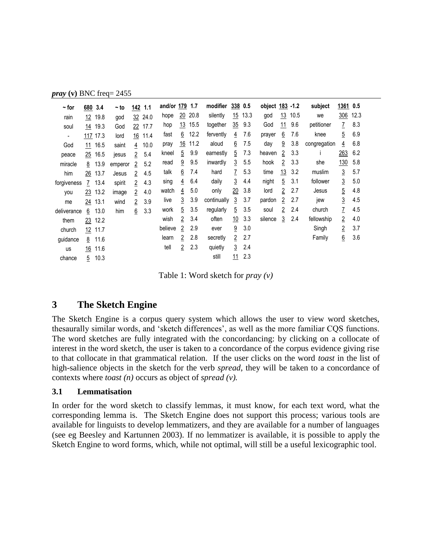*pray* **(v)** BNC freq= 2455

| $\sim$ for     | 680 | 3.4             | ~ to    |                | 142 1.1 | and/or 179 1.7 |                 |      | modifier    | 338 0.5        |      | object 183 -1.2 |                |      | subject      | 1361 0.5       |      |
|----------------|-----|-----------------|---------|----------------|---------|----------------|-----------------|------|-------------|----------------|------|-----------------|----------------|------|--------------|----------------|------|
| rain           |     | 12 19.8         | god     |                | 32 24.0 | hope           | $\overline{20}$ | 20.8 | silently    | 15             | 13.3 | god             | <u> 13</u>     | 10.5 | we           | 306            | 12.3 |
| soul           |     | 14 19.3         | God     | 22             | 17.7    | hop            | <u>13</u>       | 15.5 | together    | 35             | 9.3  | God             | 11             | 9.6  | petitioner   | $\mathcal{I}$  | 8.3  |
| $\blacksquare$ |     | <u>117</u> 17.3 | lord    | 16             | 11.4    | fast           | 6               | 12.2 | fervently   | 4              | 7.6  | prayer          | 6              | 7.6  | knee         | $\overline{5}$ | 6.9  |
| God            |     | 11 16.5         | saint   | 4              | 10.0    | pray           | <u> 16</u>      | 11.2 | aloud       | 6              | 7.5  | day             | <u>9</u>       | 3.8  | congregation | 4              | 6.8  |
| peace          | 25  | 16.5            | jesus   | 2              | 5.4     | kneel          | 5               | 9.9  | earnestly   | 5              | 7.3  | heaven          | 2              | 3.3  |              | 263            | 6.2  |
| miracle        | 8   | 13.9            | emperor | 2              | 5.2     | read           | 9               | 9.5  | inwardly    | 3              | 5.5  | hook            | 2              | 3.3  | she          | <u>130</u>     | 5.8  |
| him            | 26  | 13.7            | Jesus   | $\overline{2}$ | 4.5     | talk           | 6               | 7.4  | hard        | 7              | 5.3  | time            | 13             | 3.2  | muslim       | $\overline{3}$ | 5.7  |
| forgiveness    | 7   | 13.4            | spirit  | 2              | 4.3     | sing           | 4               | 6.4  | daily       | $\overline{3}$ | 4.4  | night           | 5              | 3.1  | follower     | $\overline{3}$ | 5.0  |
| you            | 23  | 13.2            | image   | $\overline{2}$ | 4.0     | watch          | 4               | 5.0  | only        | 20             | 3.8  | lord            | 2              | 2.7  | Jesus        | $\overline{5}$ | 4.8  |
| me             | 24  | 13.1            | wind    | 2              | 3.9     | live           | 3               | 3.9  | continually | 3              | 3.7  | pardon          | 2              | 2.7  | jew          | $\overline{3}$ | 4.5  |
| deliverance    | 6   | 13.0            | him     | 6              | 3.3     | work           | 5               | 3.5  | regularly   | 5              | 3.5  | soul            | $\overline{2}$ | 2.4  | church       | $\overline{L}$ | 4.5  |
| them           |     | 23 12.2         |         |                |         | wish           | 2               | 3.4  | often       | 10             | 3.3  | silence         | 3              | 2.4  | fellowship   | $\overline{2}$ | 4.0  |
| church         |     | 12 11.7         |         |                |         | believe        | 2               | 2.9  | ever        | 9              | 3.0  |                 |                |      | Singh        | $\overline{2}$ | 3.7  |
| quidance       | 8   | 11.6            |         |                |         | learn          | 2               | 2.8  | secretly    | $\mathbf{2}$   | 2.7  |                 |                |      | Family       | 6              | 3.6  |
| us             | 16  | 11.6            |         |                |         | tell           | $\overline{2}$  | 2.3  | quietly     | 3              | 2.4  |                 |                |      |              |                |      |
| chance         | 5   | 10.3            |         |                |         |                |                 |      | still       | 11             | 2.3  |                 |                |      |              |                |      |

Table 1: Word sketch for *pray (v)*

#### **3 The Sketch Engine**

The Sketch Engine is a corpus query system which allows the user to view word sketches, thesaurally similar words, and 'sketch differences', as well as the more familiar CQS functions. The word sketches are fully integrated with the concordancing: by clicking on a collocate of interest in the word sketch, the user is taken to a concordance of the corpus evidence giving rise to that collocate in that grammatical relation. If the user clicks on the word *toast* in the list of high-salience objects in the sketch for the verb *spread*, they will be taken to a concordance of contexts where *toast (n)* occurs as object of *spread (v).*

#### **3.1 Lemmatisation**

In order for the word sketch to classify lemmas, it must know, for each text word, what the corresponding lemma is. The Sketch Engine does not support this process; various tools are available for linguists to develop lemmatizers, and they are available for a number of languages (see eg Beesley and Kartunnen 2003). If no lemmatizer is available, it is possible to apply the Sketch Engine to word forms, which, while not optimal, will still be a useful lexicographic tool.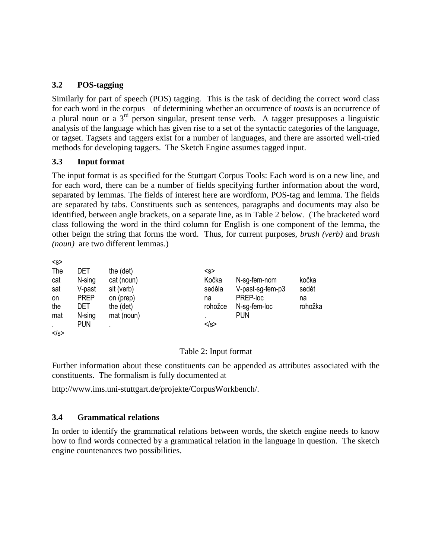#### **3.2 POS-tagging**

Similarly for part of speech (POS) tagging. This is the task of deciding the correct word class for each word in the corpus – of determining whether an occurrence of *toasts* is an occurrence of a plural noun or a  $3<sup>rd</sup>$  person singular, present tense verb. A tagger presupposes a linguistic analysis of the language which has given rise to a set of the syntactic categories of the language, or tagset. Tagsets and taggers exist for a number of languages, and there are assorted well-tried methods for developing taggers. The Sketch Engine assumes tagged input.

#### **3.3 Input format**

The input format is as specified for the Stuttgart Corpus Tools: Each word is on a new line, and for each word, there can be a number of fields specifying further information about the word, separated by lemmas. The fields of interest here are wordform, POS-tag and lemma. The fields are separated by tabs. Constituents such as sentences, paragraphs and documents may also be identified, between angle brackets, on a separate line, as in Table 2 below. (The bracketed word class following the word in the third column for English is one component of the lemma, the other beign the string that forms the word. Thus, for current purposes, *brush (verb)* and *brush (noun)* are two different lemmas.)

| < s          |             |            |         |                  |         |
|--------------|-------------|------------|---------|------------------|---------|
| The          | DET         | the (det)  | < s     |                  |         |
| cat          | N-sing      | cat (noun) | Kočka   | N-sg-fem-nom     | kočka   |
| sat          | V-past      | sit (verb) | seděla  | V-past-sg-fem-p3 | sedět   |
| on           | <b>PREP</b> | on (prep)  | na      | PREP-loc         | na      |
| the          | DET         | the (det)  | rohožce | N-sg-fem-loc     | rohožka |
| mat          | N-sing      | mat (noun) | ٠       | <b>PUN</b>       |         |
| $\mathbf{r}$ | <b>PUN</b>  |            | $<$ /s> |                  |         |
| $<$ /s>      |             |            |         |                  |         |

#### Table 2: Input format

Further information about these constituents can be appended as attributes associated with the constituents. The formalism is fully documented at

http://www.ims.uni-stuttgart.de/projekte/CorpusWorkbench/.

#### **3.4 Grammatical relations**

In order to identify the grammatical relations between words, the sketch engine needs to know how to find words connected by a grammatical relation in the language in question. The sketch engine countenances two possibilities.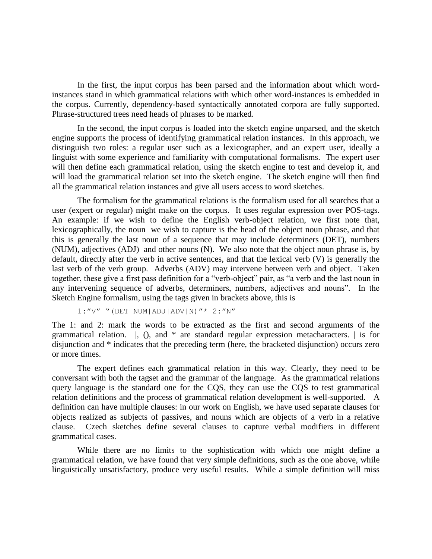In the first, the input corpus has been parsed and the information about which wordinstances stand in which grammatical relations with which other word-instances is embedded in the corpus. Currently, dependency-based syntactically annotated corpora are fully supported. Phrase-structured trees need heads of phrases to be marked.

In the second, the input corpus is loaded into the sketch engine unparsed, and the sketch engine supports the process of identifying grammatical relation instances. In this approach, we distinguish two roles: a regular user such as a lexicographer, and an expert user, ideally a linguist with some experience and familiarity with computational formalisms. The expert user will then define each grammatical relation, using the sketch engine to test and develop it, and will load the grammatical relation set into the sketch engine. The sketch engine will then find all the grammatical relation instances and give all users access to word sketches.

The formalism for the grammatical relations is the formalism used for all searches that a user (expert or regular) might make on the corpus. It uses regular expression over POS-tags. An example: if we wish to define the English verb-object relation, we first note that, lexicographically, the noun we wish to capture is the head of the object noun phrase, and that this is generally the last noun of a sequence that may include determiners (DET), numbers (NUM), adjectives (ADJ) and other nouns (N). We also note that the object noun phrase is, by default, directly after the verb in active sentences, and that the lexical verb (V) is generally the last verb of the verb group. Adverbs (ADV) may intervene between verb and object. Taken together, these give a first pass definition for a "verb-object" pair, as "a verb and the last noun in any intervening sequence of adverbs, determiners, numbers, adjectives and nouns". In the Sketch Engine formalism, using the tags given in brackets above, this is

 $1:''V''$  "(DET|NUM|ADJ|ADV|N)"\* 2:"N"

The 1: and 2: mark the words to be extracted as the first and second arguments of the grammatical relation.  $\vert$ , (), and  $*$  are standard regular expression metacharacters.  $\vert$  is for disjunction and \* indicates that the preceding term (here, the bracketed disjunction) occurs zero or more times.

The expert defines each grammatical relation in this way. Clearly, they need to be conversant with both the tagset and the grammar of the language. As the grammatical relations query language is the standard one for the CQS, they can use the CQS to test grammatical relation definitions and the process of grammatical relation development is well-supported. A definition can have multiple clauses: in our work on English, we have used separate clauses for objects realized as subjects of passives, and nouns which are objects of a verb in a relative clause. Czech sketches define several clauses to capture verbal modifiers in different grammatical cases.

While there are no limits to the sophistication with which one might define a grammatical relation, we have found that very simple definitions, such as the one above, while linguistically unsatisfactory, produce very useful results. While a simple definition will miss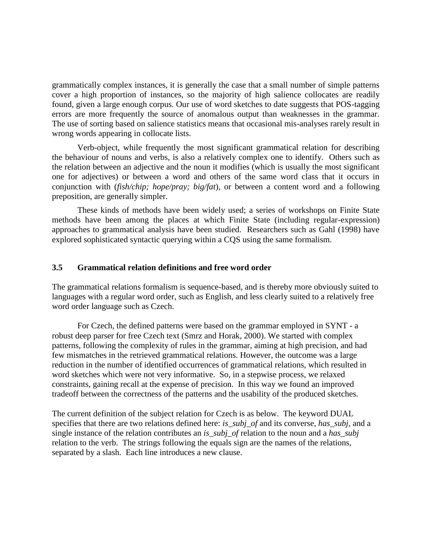grammatically complex instances, it is generally the case that a small number of simple patterns cover a high proportion of instances, so the majority of high salience collocates are readily found, given a large enough corpus. Our use of word sketches to date suggests that POS-tagging errors are more frequently the source of anomalous output than weaknesses in the grammar. The use of sorting based on salience statistics means that occasional mis-analyses rarely result in wrong words appearing in collocate lists.

Verb-object, while frequently the most significant grammatical relation for describing the behaviour of nouns and verbs, is also a relatively complex one to identify. Others such as the relation between an adjective and the noun it modifies (which is usually the most significant one for adjectives) or between a word and others of the same word class that it occurs in conjunction with (*fish/chip; hope/pray; big/fat*), or between a content word and a following preposition, are generally simpler.

These kinds of methods have been widely used; a series of workshops on Finite State methods have been among the places at which Finite State (including regular-expression) approaches to grammatical analysis have been studied. Researchers such as Gahl (1998) have explored sophisticated syntactic querying within a CQS using the same formalism.

#### **3.5 Grammatical relation definitions and free word order**

The grammatical relations formalism is sequence-based, and is thereby more obviously suited to languages with a regular word order, such as English, and less clearly suited to a relatively free word order language such as Czech.

For Czech, the defined patterns were based on the grammar employed in SYNT - a robust deep parser for free Czech text (Smrz and Horak, 2000). We started with complex patterns, following the complexity of rules in the grammar, aiming at high precision, and had few mismatches in the retrieved grammatical relations. However, the outcome was a large reduction in the number of identified occurrences of grammatical relations, which resulted in word sketches which were not very informative. So, in a stepwise process, we relaxed constraints, gaining recall at the expense of precision. In this way we found an improved tradeoff between the correctness of the patterns and the usability of the produced sketches.

The current definition of the subject relation for Czech is as below. The keyword DUAL specifies that there are two relations defined here: *is* subj of and its converse, *has* subj, and a single instance of the relation contributes an *is\_subj\_of* relation to the noun and a *has\_subj*  relation to the verb. The strings following the equals sign are the names of the relations, separated by a slash. Each line introduces a new clause.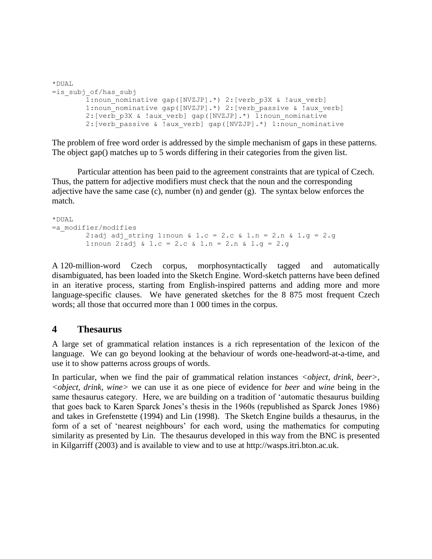```
*DUAL
=is_subj_of/has_subj
        1:noun nominative gap([NVZJP].*) 2:[verb p3X & !aux verb]
        1:noun_nominative gap([NVZJP].*) 2:[verb_passive & laux verb]
        2: [verb p3X & !aux verb] gap([NVZJP].*) 1:noun nominative
        2: [verb_passive & !aux_verb] gap([NVZJP].*) 1:noun_nominative
```
The problem of free word order is addressed by the simple mechanism of gaps in these patterns. The object gap() matches up to 5 words differing in their categories from the given list.

Particular attention has been paid to the agreement constraints that are typical of Czech. Thus, the pattern for adjective modifiers must check that the noun and the corresponding adjective have the same case (c), number (n) and gender (g). The syntax below enforces the match.

```
*DUAL
=a_modifier/modifies
        2:adj adj string 1:noun & 1.c = 2.c & 1.n = 2.n & 1.g = 2.g
         1:noun 2:adj & 1.c = 2.c & 1.n = 2.n & 1.g = 2.g
```
A 120-million-word Czech corpus, morphosyntactically tagged and automatically disambiguated, has been loaded into the Sketch Engine. Word-sketch patterns have been defined in an iterative process, starting from English-inspired patterns and adding more and more language-specific clauses. We have generated sketches for the 8 875 most frequent Czech words; all those that occurred more than 1 000 times in the corpus.

### **4 Thesaurus**

A large set of grammatical relation instances is a rich representation of the lexicon of the language. We can go beyond looking at the behaviour of words one-headword-at-a-time, and use it to show patterns across groups of words.

In particular, when we find the pair of grammatical relation instances *<object, drink, beer>, <object, drink, wine>* we can use it as one piece of evidence for *beer* and *wine* being in the same thesaurus category. Here, we are building on a tradition of 'automatic thesaurus building that goes back to Karen Sparck Jones's thesis in the 1960s (republished as Sparck Jones 1986) and takes in Grefenstette (1994) and Lin (1998). The Sketch Engine builds a thesaurus, in the form of a set of 'nearest neighbours' for each word, using the mathematics for computing similarity as presented by Lin. The thesaurus developed in this way from the BNC is presented in Kilgarriff (2003) and is available to view and to use at http://wasps.itri.bton.ac.uk.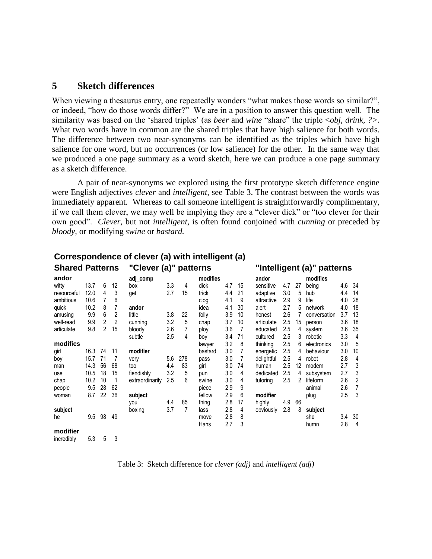#### **5 Sketch differences**

When viewing a thesaurus entry, one repeatedly wonders "what makes those words so similar?", or indeed, "how do those words differ?" We are in a position to answer this question well. The similarity was based on the 'shared triples' (as *beer* and *wine* "share" the triple <*obj, drink, ?>*. What two words have in common are the shared triples that have high salience for both words. The difference between two near-synonyms can be identified as the triples which have high salience for one word, but no occurrences (or low salience) for the other. In the same way that we produced a one page summary as a word sketch, here we can produce a one page summary as a sketch difference.

A pair of near-synonyms we explored using the first prototype sketch difference engine were English adjectives *clever* and *intelligent,* see Table 3. The contrast between the words was immediately apparent. Whereas to call someone intelligent is straightforwardly complimentary, if we call them clever, we may well be implying they are a "clever dick" or "too clever for their own good". *Clever,* but not *intelligent*, is often found conjoined with *cunning* or preceded by *bloody,* or modifying *swine* or *bastard.*

| <b>Shared Patterns</b> |      |                      |    | "Clever (a)" patterns |     |     |          |     |    | "Intelligent (a)" patterns |     |    |              |     |                |
|------------------------|------|----------------------|----|-----------------------|-----|-----|----------|-----|----|----------------------------|-----|----|--------------|-----|----------------|
| andor                  |      |                      |    | adj comp              |     |     | modifies |     |    | andor                      |     |    | modifies     |     |                |
| witty                  | 13.7 | 6                    | 12 | box                   | 3.3 | 4   | dick     | 4.7 | 15 | sensitive                  | 4.7 | 27 | being        | 4.6 | 34             |
| resourceful            | 12.0 | 4                    | 3  | qet                   | 2.7 | 15  | trick    | 4.4 | 21 | adaptive                   | 3.0 | 5  | hub          | 4.4 | 14             |
| ambitious              | 10.6 |                      | 6  |                       |     |     | clog     | 4.1 | 9  | attractive                 | 2.9 | 9  | life         | 4.0 | 28             |
| quick                  | 10.2 | 8                    | 7  | andor                 |     |     | idea     | 4.1 | 30 | alert                      | 2.7 | 5  | network      | 4.0 | 18             |
| amusing                | 9.9  | 6                    | 2  | little                | 3.8 | 22  | folly    | 3.9 | 10 | honest                     | 2.6 | 7  | conversation | 3.7 | 13             |
| well-read              | 9.9  | $\mathcal{P}$        | 2  | cunning               | 3.2 | 5   | chap     | 3.7 | 10 | articulate                 | 2.5 | 15 | person       | 3.6 | 18             |
| articulate             | 9.8  | $\mathbf{2}^{\circ}$ | 15 | bloody                | 2.6 | 7   | ploy     | 3.6 | 7  | educated                   | 2.5 | 4  | system       | 3.6 | 35             |
|                        |      |                      |    | subtle                | 2.5 | 4   | boy      | 3.4 | 71 | cultured                   | 2.5 | 3  | robotic      | 3.3 | 4              |
| modifies               |      |                      |    |                       |     |     | lawyer   | 3.2 | 8  | thinking                   | 2.5 | 6  | electronics  | 3.0 | 5              |
| girl                   | 16.3 | 74                   | 11 | modifier              |     |     | bastard  | 3.0 | 7  | energetic                  | 2.5 | 4  | behaviour    | 3.0 | 10             |
| boy                    | 15.7 | 71                   | 7  | very                  | 5.6 | 278 | pass     | 3.0 | 7  | delightful                 | 2.5 | 4  | robot        | 2.8 | 4              |
| man                    | 14.3 | 56                   | 68 | too                   | 4.4 | 83  | girl     | 3.0 | 74 | human                      | 2.5 | 12 | modem        | 2.7 | 3              |
| use                    | 10.5 | 18                   | 15 | fiendishly            | 3.2 | 5   | pun      | 3.0 | 4  | dedicated                  | 2.5 | 4  | subsystem    | 2.7 | 3              |
| chap                   | 10.2 | 10                   | 1  | extraordinarily       | 2.5 | 6   | swine    | 3.0 | 4  | tutoring                   | 2.5 | 2  | lifeform     | 2.6 | $\overline{2}$ |
| people                 | 9.5  | 28                   | 62 |                       |     |     | piece    | 2.9 | 9  |                            |     |    | animal       | 2.6 | 7              |
| woman                  | 8.7  | 22                   | 36 | subject               |     |     | fellow   | 2.9 | 6  | modifier                   |     |    | plug         | 2.5 | 3              |
|                        |      |                      |    | vou                   | 4.4 | 85  | thing    | 2.8 | 17 | highly                     | 4.9 | 66 |              |     |                |
| subject                |      |                      |    | boxing                | 3.7 | 7   | lass     | 2.8 | 4  | obviously                  | 2.8 | 8  | subject      |     |                |
| he                     | 9.5  | 98                   | 49 |                       |     |     | move     | 2.8 | 8  |                            |     |    | she          | 3.4 | 30             |
|                        |      |                      |    |                       |     |     | Hans     | 2.7 | 3  |                            |     |    | humn         | 2.8 | 4              |
| modifier               |      |                      |    |                       |     |     |          |     |    |                            |     |    |              |     |                |
| incredibly             | 5.3  | 5                    | 3  |                       |     |     |          |     |    |                            |     |    |              |     |                |

# **Correspondence of clever (a) with intelligent (a)**

Table 3: Sketch difference for *clever (adj)* and *intelligent (adj)*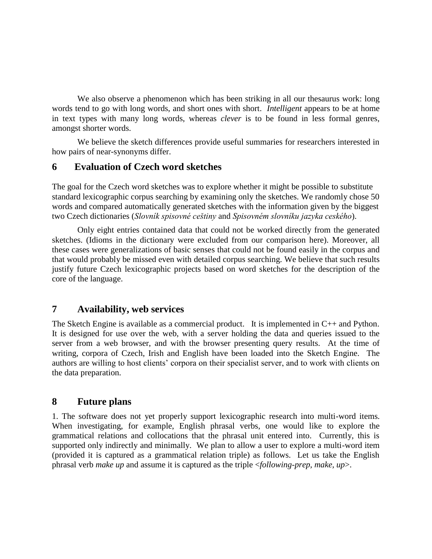We also observe a phenomenon which has been striking in all our thesaurus work: long words tend to go with long words, and short ones with short. *Intelligent* appears to be at home in text types with many long words, whereas *clever* is to be found in less formal genres, amongst shorter words.

We believe the sketch differences provide useful summaries for researchers interested in how pairs of near-synonyms differ.

### **6 Evaluation of Czech word sketches**

The goal for the Czech word sketches was to explore whether it might be possible to substitute standard lexicographic corpus searching by examining only the sketches. We randomly chose 50 words and compared automatically generated sketches with the information given by the biggest two Czech dictionaries (*Slovník spisovné ceštiny* and *Spisovném slovníku jazyka ceského*).

Only eight entries contained data that could not be worked directly from the generated sketches. (Idioms in the dictionary were excluded from our comparison here). Moreover, all these cases were generalizations of basic senses that could not be found easily in the corpus and that would probably be missed even with detailed corpus searching. We believe that such results justify future Czech lexicographic projects based on word sketches for the description of the core of the language.

### **7 Availability, web services**

The Sketch Engine is available as a commercial product. It is implemented in C++ and Python. It is designed for use over the web, with a server holding the data and queries issued to the server from a web browser, and with the browser presenting query results. At the time of writing, corpora of Czech, Irish and English have been loaded into the Sketch Engine. The authors are willing to host clients' corpora on their specialist server, and to work with clients on the data preparation.

#### **8 Future plans**

1. The software does not yet properly support lexicographic research into multi-word items. When investigating, for example, English phrasal verbs, one would like to explore the grammatical relations and collocations that the phrasal unit entered into. Currently, this is supported only indirectly and minimally. We plan to allow a user to explore a multi-word item (provided it is captured as a grammatical relation triple) as follows. Let us take the English phrasal verb *make up* and assume it is captured as the triple <*following-prep, make, up*>.